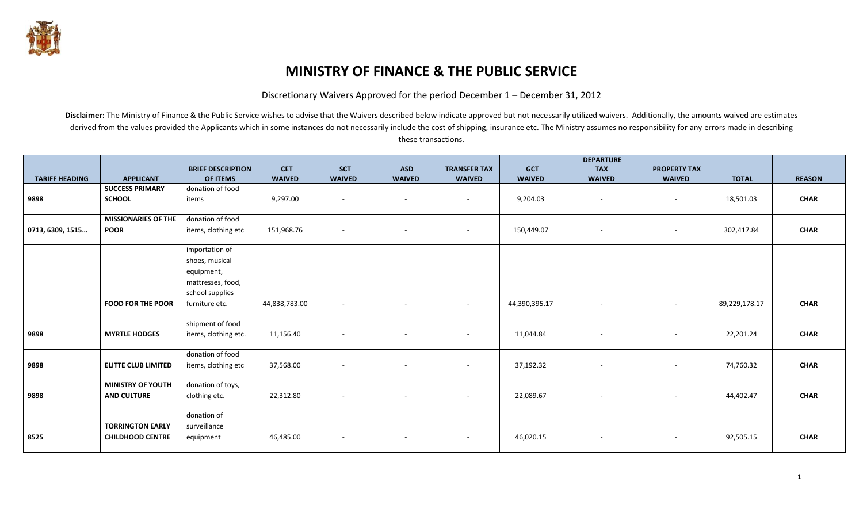

## **MINISTRY OF FINANCE & THE PUBLIC SERVICE**

Discretionary Waivers Approved for the period December 1 – December 31, 2012

Disclaimer: The Ministry of Finance & the Public Service wishes to advise that the Waivers described below indicate approved but not necessarily utilized waivers. Additionally, the amounts waived are estimates derived from the values provided the Applicants which in some instances do not necessarily include the cost of shipping, insurance etc. The Ministry assumes no responsibility for any errors made in describing these transactions.

|                       |                            | <b>BRIEF DESCRIPTION</b> | <b>CET</b>    | <b>SCT</b>               | <b>ASD</b>               | <b>TRANSFER TAX</b>      | <b>GCT</b>    | <b>DEPARTURE</b><br><b>TAX</b> | <b>PROPERTY TAX</b>      |               |               |
|-----------------------|----------------------------|--------------------------|---------------|--------------------------|--------------------------|--------------------------|---------------|--------------------------------|--------------------------|---------------|---------------|
| <b>TARIFF HEADING</b> | <b>APPLICANT</b>           | OF ITEMS                 | <b>WAIVED</b> | <b>WAIVED</b>            | <b>WAIVED</b>            | <b>WAIVED</b>            | <b>WAIVED</b> | <b>WAIVED</b>                  | <b>WAIVED</b>            | <b>TOTAL</b>  | <b>REASON</b> |
|                       | <b>SUCCESS PRIMARY</b>     | donation of food         |               |                          |                          |                          |               |                                |                          |               |               |
| 9898                  | <b>SCHOOL</b>              | items                    | 9,297.00      | $\overline{\phantom{a}}$ | $\sim$                   | $\sim$                   | 9,204.03      | $\overline{\phantom{a}}$       | $\overline{\phantom{a}}$ | 18,501.03     | <b>CHAR</b>   |
|                       |                            |                          |               |                          |                          |                          |               |                                |                          |               |               |
|                       | <b>MISSIONARIES OF THE</b> | donation of food         |               |                          |                          |                          |               |                                |                          |               |               |
| 0713, 6309, 1515      | <b>POOR</b>                | items, clothing etc      | 151,968.76    | $\overline{\phantom{a}}$ | $\overline{\phantom{a}}$ | $\overline{\phantom{a}}$ | 150,449.07    | $\overline{\phantom{a}}$       | $\overline{\phantom{a}}$ | 302,417.84    | <b>CHAR</b>   |
|                       |                            | importation of           |               |                          |                          |                          |               |                                |                          |               |               |
|                       |                            | shoes, musical           |               |                          |                          |                          |               |                                |                          |               |               |
|                       |                            | equipment,               |               |                          |                          |                          |               |                                |                          |               |               |
|                       |                            | mattresses, food,        |               |                          |                          |                          |               |                                |                          |               |               |
|                       |                            | school supplies          |               |                          |                          |                          |               |                                |                          |               |               |
|                       | <b>FOOD FOR THE POOR</b>   | furniture etc.           | 44,838,783.00 |                          | $\overline{\phantom{a}}$ | $-$                      | 44,390,395.17 | $\overline{\phantom{a}}$       | $\overline{\phantom{a}}$ | 89,229,178.17 | <b>CHAR</b>   |
|                       |                            |                          |               |                          |                          |                          |               |                                |                          |               |               |
|                       |                            | shipment of food         |               |                          |                          |                          |               |                                |                          |               |               |
| 9898                  | <b>MYRTLE HODGES</b>       | items, clothing etc.     | 11,156.40     |                          |                          | $\overline{\phantom{a}}$ | 11,044.84     |                                |                          | 22,201.24     | <b>CHAR</b>   |
|                       |                            | donation of food         |               |                          |                          |                          |               |                                |                          |               |               |
| 9898                  | <b>ELITTE CLUB LIMITED</b> | items, clothing etc      | 37,568.00     | $\sim$                   | $\overline{\phantom{a}}$ | $\sim$                   | 37,192.32     | $\overline{\phantom{a}}$       | $\overline{\phantom{a}}$ | 74,760.32     | <b>CHAR</b>   |
|                       |                            |                          |               |                          |                          |                          |               |                                |                          |               |               |
|                       | <b>MINISTRY OF YOUTH</b>   | donation of toys,        |               |                          |                          |                          |               |                                |                          |               |               |
| 9898                  | <b>AND CULTURE</b>         | clothing etc.            | 22,312.80     |                          | $\sim$                   |                          | 22,089.67     | $\overline{\phantom{a}}$       | $\overline{\phantom{a}}$ | 44,402.47     | <b>CHAR</b>   |
|                       |                            |                          |               |                          |                          |                          |               |                                |                          |               |               |
|                       |                            | donation of              |               |                          |                          |                          |               |                                |                          |               |               |
|                       | <b>TORRINGTON EARLY</b>    | surveillance             |               |                          |                          |                          |               |                                |                          |               |               |
| 8525                  | <b>CHILDHOOD CENTRE</b>    | equipment                | 46,485.00     |                          | $\sim$                   | $\sim$                   | 46,020.15     | $\overline{\phantom{a}}$       | $\overline{\phantom{a}}$ | 92,505.15     | <b>CHAR</b>   |
|                       |                            |                          |               |                          |                          |                          |               |                                |                          |               |               |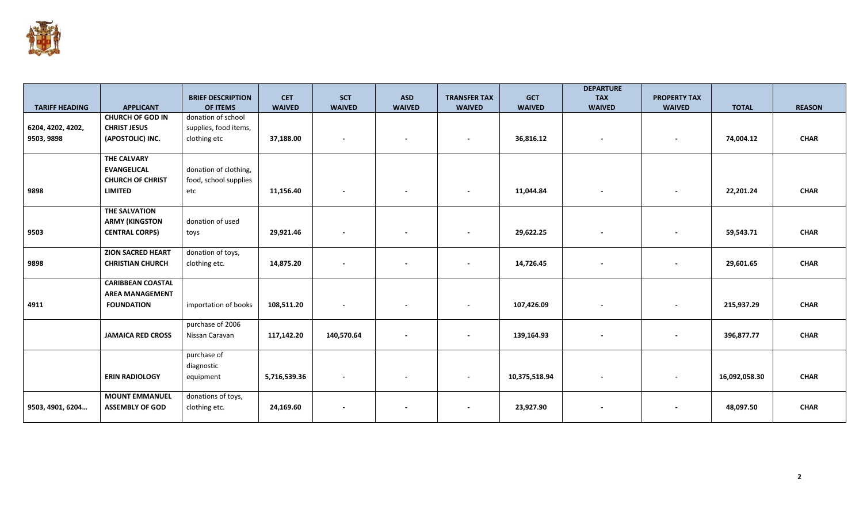

|                       |                                             |                          |               |                          |                          |                          |               | <b>DEPARTURE</b>         |                          |               |               |
|-----------------------|---------------------------------------------|--------------------------|---------------|--------------------------|--------------------------|--------------------------|---------------|--------------------------|--------------------------|---------------|---------------|
|                       |                                             | <b>BRIEF DESCRIPTION</b> | <b>CET</b>    | <b>SCT</b>               | <b>ASD</b>               | <b>TRANSFER TAX</b>      | <b>GCT</b>    | <b>TAX</b>               | <b>PROPERTY TAX</b>      |               |               |
| <b>TARIFF HEADING</b> | <b>APPLICANT</b><br><b>CHURCH OF GOD IN</b> | OF ITEMS                 | <b>WAIVED</b> | <b>WAIVED</b>            | <b>WAIVED</b>            | <b>WAIVED</b>            | <b>WAIVED</b> | <b>WAIVED</b>            | <b>WAIVED</b>            | <b>TOTAL</b>  | <b>REASON</b> |
|                       |                                             | donation of school       |               |                          |                          |                          |               |                          |                          |               |               |
| 6204, 4202, 4202,     | <b>CHRIST JESUS</b>                         | supplies, food items,    |               |                          |                          |                          |               |                          |                          |               |               |
| 9503, 9898            | (APOSTOLIC) INC.                            | clothing etc             | 37,188.00     | $\overline{\phantom{a}}$ | $\overline{\phantom{a}}$ | $\overline{\phantom{a}}$ | 36,816.12     | $\overline{\phantom{a}}$ | $\overline{\phantom{a}}$ | 74,004.12     | <b>CHAR</b>   |
|                       | <b>THE CALVARY</b>                          |                          |               |                          |                          |                          |               |                          |                          |               |               |
|                       | <b>EVANGELICAL</b>                          | donation of clothing,    |               |                          |                          |                          |               |                          |                          |               |               |
|                       | <b>CHURCH OF CHRIST</b>                     | food, school supplies    |               |                          |                          |                          |               |                          |                          |               |               |
| 9898                  | LIMITED                                     | etc                      | 11,156.40     | $\overline{\phantom{a}}$ | $\overline{\phantom{0}}$ | $\overline{\phantom{a}}$ | 11,044.84     | $\sim$                   | $\overline{\phantom{a}}$ | 22,201.24     | <b>CHAR</b>   |
|                       | THE SALVATION                               |                          |               |                          |                          |                          |               |                          |                          |               |               |
|                       | <b>ARMY (KINGSTON</b>                       | donation of used         |               |                          |                          |                          |               |                          |                          |               |               |
| 9503                  | <b>CENTRAL CORPS)</b>                       | toys                     | 29,921.46     | $\blacksquare$           |                          | $\overline{\phantom{a}}$ | 29,622.25     | $\overline{\phantom{a}}$ |                          | 59,543.71     | <b>CHAR</b>   |
|                       |                                             |                          |               |                          |                          |                          |               |                          |                          |               |               |
|                       | <b>ZION SACRED HEART</b>                    | donation of toys,        |               |                          |                          |                          |               |                          |                          |               |               |
| 9898                  | <b>CHRISTIAN CHURCH</b>                     | clothing etc.            | 14,875.20     |                          | $\overline{\phantom{a}}$ | $\overline{\phantom{a}}$ | 14,726.45     | $\overline{\phantom{a}}$ | $\overline{\phantom{a}}$ | 29,601.65     | <b>CHAR</b>   |
|                       | <b>CARIBBEAN COASTAL</b>                    |                          |               |                          |                          |                          |               |                          |                          |               |               |
|                       | <b>AREA MANAGEMENT</b>                      |                          |               |                          |                          |                          |               |                          |                          |               |               |
| 4911                  | <b>FOUNDATION</b>                           | importation of books     | 108,511.20    | $\overline{\phantom{a}}$ |                          | $\overline{\phantom{a}}$ | 107,426.09    | $\overline{\phantom{a}}$ |                          | 215,937.29    | <b>CHAR</b>   |
|                       |                                             |                          |               |                          |                          |                          |               |                          |                          |               |               |
|                       |                                             | purchase of 2006         |               |                          |                          |                          |               |                          |                          |               |               |
|                       | <b>JAMAICA RED CROSS</b>                    | Nissan Caravan           | 117,142.20    | 140,570.64               | $\overline{\phantom{a}}$ | $\overline{\phantom{a}}$ | 139,164.93    | $\overline{\phantom{a}}$ | $\blacksquare$           | 396,877.77    | <b>CHAR</b>   |
|                       |                                             | purchase of              |               |                          |                          |                          |               |                          |                          |               |               |
|                       |                                             | diagnostic               |               |                          |                          |                          |               |                          |                          |               |               |
|                       | <b>ERIN RADIOLOGY</b>                       | equipment                | 5,716,539.36  | $\blacksquare$           |                          | $\overline{\phantom{a}}$ | 10,375,518.94 | $\overline{\phantom{a}}$ |                          | 16,092,058.30 | <b>CHAR</b>   |
|                       |                                             |                          |               |                          |                          |                          |               |                          |                          |               |               |
|                       | <b>MOUNT EMMANUEL</b>                       | donations of toys,       |               |                          |                          |                          |               |                          |                          |               |               |
| 9503, 4901, 6204      | <b>ASSEMBLY OF GOD</b>                      | clothing etc.            | 24,169.60     | $\overline{\phantom{a}}$ |                          | $\overline{\phantom{a}}$ | 23,927.90     | $\overline{\phantom{a}}$ | $\overline{\phantom{a}}$ | 48,097.50     | <b>CHAR</b>   |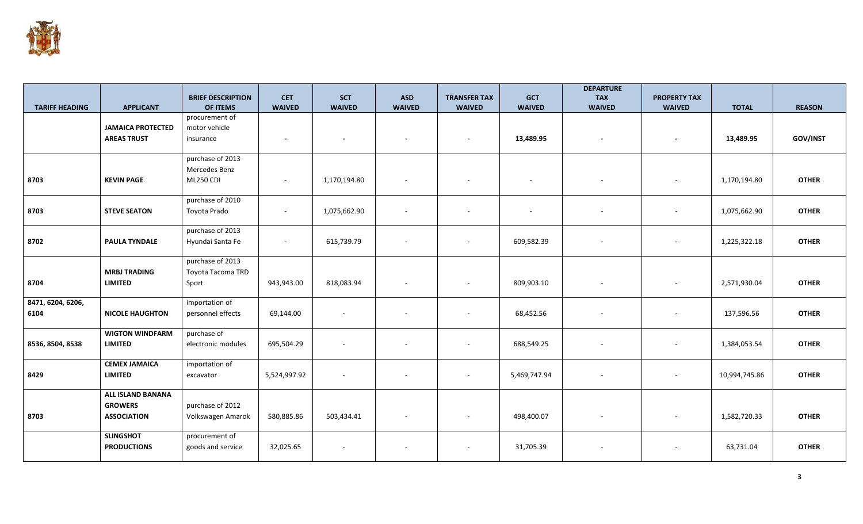

|                       |                          |                                      |                             |                             |                             |                                      |                             | <b>DEPARTURE</b>            |                                      |               |               |
|-----------------------|--------------------------|--------------------------------------|-----------------------------|-----------------------------|-----------------------------|--------------------------------------|-----------------------------|-----------------------------|--------------------------------------|---------------|---------------|
| <b>TARIFF HEADING</b> | <b>APPLICANT</b>         | <b>BRIEF DESCRIPTION</b><br>OF ITEMS | <b>CET</b><br><b>WAIVED</b> | <b>SCT</b><br><b>WAIVED</b> | <b>ASD</b><br><b>WAIVED</b> | <b>TRANSFER TAX</b><br><b>WAIVED</b> | <b>GCT</b><br><b>WAIVED</b> | <b>TAX</b><br><b>WAIVED</b> | <b>PROPERTY TAX</b><br><b>WAIVED</b> | <b>TOTAL</b>  | <b>REASON</b> |
|                       |                          | procurement of                       |                             |                             |                             |                                      |                             |                             |                                      |               |               |
|                       | <b>JAMAICA PROTECTED</b> | motor vehicle                        |                             |                             |                             |                                      |                             |                             |                                      |               |               |
|                       | <b>AREAS TRUST</b>       | insurance                            | $\overline{\phantom{a}}$    | $\overline{\phantom{a}}$    |                             | $\overline{\phantom{a}}$             | 13,489.95                   | $\overline{\phantom{a}}$    | $\overline{a}$                       | 13,489.95     | GOV/INST      |
|                       |                          |                                      |                             |                             |                             |                                      |                             |                             |                                      |               |               |
|                       |                          | purchase of 2013                     |                             |                             |                             |                                      |                             |                             |                                      |               |               |
|                       |                          | Mercedes Benz                        |                             |                             |                             |                                      |                             |                             |                                      |               |               |
| 8703                  | <b>KEVIN PAGE</b>        | <b>ML250 CDI</b>                     | $\sim$                      | 1,170,194.80                |                             | $\overline{\phantom{a}}$             | $\sim$                      |                             |                                      | 1,170,194.80  | <b>OTHER</b>  |
|                       |                          | purchase of 2010                     |                             |                             |                             |                                      |                             |                             |                                      |               |               |
| 8703                  | <b>STEVE SEATON</b>      | Toyota Prado                         | $\sim$                      | 1,075,662.90                |                             | $\overline{\phantom{a}}$             | $\overline{\phantom{a}}$    |                             |                                      | 1,075,662.90  | <b>OTHER</b>  |
|                       |                          |                                      |                             |                             |                             |                                      |                             |                             |                                      |               |               |
|                       |                          | purchase of 2013                     |                             |                             |                             |                                      |                             |                             |                                      |               |               |
| 8702                  | <b>PAULA TYNDALE</b>     | Hyundai Santa Fe                     | $\sim$                      | 615,739.79                  |                             | $\sim$                               | 609,582.39                  |                             |                                      | 1,225,322.18  | <b>OTHER</b>  |
|                       |                          | purchase of 2013                     |                             |                             |                             |                                      |                             |                             |                                      |               |               |
|                       | <b>MRBJ TRADING</b>      | Toyota Tacoma TRD                    |                             |                             |                             |                                      |                             |                             |                                      |               |               |
| 8704                  | <b>LIMITED</b>           | Sport                                | 943,943.00                  | 818,083.94                  |                             | $\overline{\phantom{a}}$             | 809,903.10                  |                             |                                      | 2,571,930.04  | <b>OTHER</b>  |
|                       |                          |                                      |                             |                             |                             |                                      |                             |                             |                                      |               |               |
| 8471, 6204, 6206,     |                          | importation of                       |                             |                             |                             |                                      |                             |                             |                                      |               |               |
| 6104                  | <b>NICOLE HAUGHTON</b>   | personnel effects                    | 69,144.00                   | $\sim$                      |                             | $\sim$                               | 68,452.56                   |                             |                                      | 137,596.56    | <b>OTHER</b>  |
|                       |                          |                                      |                             |                             |                             |                                      |                             |                             |                                      |               |               |
|                       | <b>WIGTON WINDFARM</b>   | purchase of                          |                             |                             |                             |                                      |                             |                             |                                      |               |               |
| 8536, 8504, 8538      | <b>LIMITED</b>           | electronic modules                   | 695,504.29                  | $\sim$                      |                             | $\overline{\phantom{a}}$             | 688,549.25                  | $\overline{\phantom{a}}$    |                                      | 1,384,053.54  | <b>OTHER</b>  |
|                       | <b>CEMEX JAMAICA</b>     | importation of                       |                             |                             |                             |                                      |                             |                             |                                      |               |               |
| 8429                  | <b>LIMITED</b>           | excavator                            | 5,524,997.92                | $\sim$                      |                             | $\sim$                               | 5,469,747.94                |                             |                                      | 10,994,745.86 | <b>OTHER</b>  |
|                       |                          |                                      |                             |                             |                             |                                      |                             |                             |                                      |               |               |
|                       | <b>ALL ISLAND BANANA</b> |                                      |                             |                             |                             |                                      |                             |                             |                                      |               |               |
|                       | <b>GROWERS</b>           | purchase of 2012                     |                             |                             |                             |                                      |                             |                             |                                      |               |               |
| 8703                  | <b>ASSOCIATION</b>       | Volkswagen Amarok                    | 580,885.86                  | 503,434.41                  | $\sim$                      | $\sim$                               | 498,400.07                  | $\sim$                      |                                      | 1,582,720.33  | <b>OTHER</b>  |
|                       | <b>SLINGSHOT</b>         | procurement of                       |                             |                             |                             |                                      |                             |                             |                                      |               |               |
|                       |                          |                                      |                             |                             |                             |                                      |                             |                             |                                      |               |               |
|                       |                          |                                      |                             |                             |                             |                                      |                             |                             |                                      |               |               |
|                       | <b>PRODUCTIONS</b>       | goods and service                    | 32,025.65                   |                             |                             | $\overline{\phantom{a}}$             | 31,705.39                   |                             |                                      | 63,731.04     | <b>OTHER</b>  |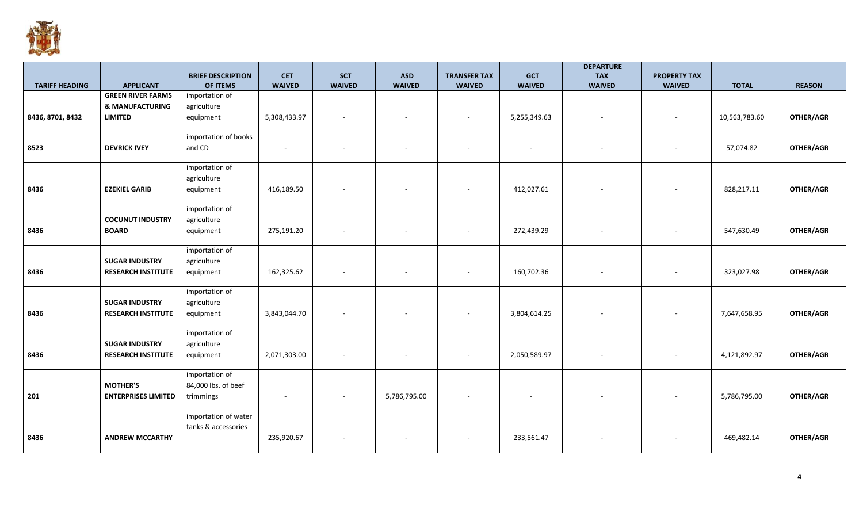

|                       |                            | <b>BRIEF DESCRIPTION</b>       | <b>CET</b>    | <b>SCT</b>               | <b>ASD</b>               | <b>TRANSFER TAX</b>      | <b>GCT</b>               | <b>DEPARTURE</b><br><b>TAX</b> | <b>PROPERTY TAX</b> |               |               |
|-----------------------|----------------------------|--------------------------------|---------------|--------------------------|--------------------------|--------------------------|--------------------------|--------------------------------|---------------------|---------------|---------------|
| <b>TARIFF HEADING</b> | <b>APPLICANT</b>           | OF ITEMS                       | <b>WAIVED</b> | <b>WAIVED</b>            | <b>WAIVED</b>            | <b>WAIVED</b>            | <b>WAIVED</b>            | <b>WAIVED</b>                  | <b>WAIVED</b>       | <b>TOTAL</b>  | <b>REASON</b> |
|                       | <b>GREEN RIVER FARMS</b>   | importation of                 |               |                          |                          |                          |                          |                                |                     |               |               |
|                       | <b>&amp; MANUFACTURING</b> | agriculture                    |               |                          |                          |                          |                          |                                |                     |               |               |
| 8436, 8701, 8432      | <b>LIMITED</b>             | equipment                      | 5,308,433.97  | $\sim$                   | $\overline{\phantom{a}}$ | $\sim$                   | 5,255,349.63             | $\sim$                         |                     | 10,563,783.60 | OTHER/AGR     |
|                       |                            |                                |               |                          |                          |                          |                          |                                |                     |               |               |
|                       | <b>DEVRICK IVEY</b>        | importation of books<br>and CD | $\sim$        |                          | $\sim$                   |                          |                          |                                |                     |               | OTHER/AGR     |
| 8523                  |                            |                                |               | $\overline{\phantom{a}}$ |                          | $\sim$                   | $\overline{\phantom{a}}$ |                                |                     | 57,074.82     |               |
|                       |                            | importation of                 |               |                          |                          |                          |                          |                                |                     |               |               |
|                       |                            | agriculture                    |               |                          |                          |                          |                          |                                |                     |               |               |
| 8436                  | <b>EZEKIEL GARIB</b>       | equipment                      | 416,189.50    | $\sim$                   | $\sim$                   | $\sim$                   | 412,027.61               | $\sim$                         |                     | 828,217.11    | OTHER/AGR     |
|                       |                            |                                |               |                          |                          |                          |                          |                                |                     |               |               |
|                       | <b>COCUNUT INDUSTRY</b>    | importation of                 |               |                          |                          |                          |                          |                                |                     |               |               |
| 8436                  | <b>BOARD</b>               | agriculture<br>equipment       | 275,191.20    | $\sim$                   | $\overline{\phantom{a}}$ | $\overline{\phantom{a}}$ | 272,439.29               | $\overline{\phantom{a}}$       |                     | 547,630.49    | OTHER/AGR     |
|                       |                            |                                |               |                          |                          |                          |                          |                                |                     |               |               |
|                       |                            | importation of                 |               |                          |                          |                          |                          |                                |                     |               |               |
|                       | <b>SUGAR INDUSTRY</b>      | agriculture                    |               |                          |                          |                          |                          |                                |                     |               |               |
| 8436                  | <b>RESEARCH INSTITUTE</b>  | equipment                      | 162,325.62    |                          | $\overline{\phantom{a}}$ |                          | 160,702.36               |                                |                     | 323,027.98    | OTHER/AGR     |
|                       |                            |                                |               |                          |                          |                          |                          |                                |                     |               |               |
|                       | <b>SUGAR INDUSTRY</b>      | importation of<br>agriculture  |               |                          |                          |                          |                          |                                |                     |               |               |
| 8436                  | <b>RESEARCH INSTITUTE</b>  | equipment                      | 3,843,044.70  |                          | $\overline{\phantom{a}}$ | $\sim$                   | 3,804,614.25             | $\overline{\phantom{a}}$       |                     | 7,647,658.95  | OTHER/AGR     |
|                       |                            |                                |               |                          |                          |                          |                          |                                |                     |               |               |
|                       |                            | importation of                 |               |                          |                          |                          |                          |                                |                     |               |               |
|                       | <b>SUGAR INDUSTRY</b>      | agriculture                    |               |                          |                          |                          |                          |                                |                     |               |               |
| 8436                  | <b>RESEARCH INSTITUTE</b>  | equipment                      | 2,071,303.00  |                          |                          |                          | 2,050,589.97             |                                |                     | 4,121,892.97  | OTHER/AGR     |
|                       |                            | importation of                 |               |                          |                          |                          |                          |                                |                     |               |               |
|                       | <b>MOTHER'S</b>            | 84,000 lbs. of beef            |               |                          |                          |                          |                          |                                |                     |               |               |
| 201                   | <b>ENTERPRISES LIMITED</b> | trimmings                      |               |                          | 5,786,795.00             | $\overline{\phantom{a}}$ |                          |                                |                     | 5,786,795.00  | OTHER/AGR     |
|                       |                            |                                |               |                          |                          |                          |                          |                                |                     |               |               |
|                       |                            | importation of water           |               |                          |                          |                          |                          |                                |                     |               |               |
|                       |                            | tanks & accessories            |               |                          |                          |                          |                          |                                |                     |               |               |
| 8436                  | <b>ANDREW MCCARTHY</b>     |                                | 235,920.67    |                          |                          |                          | 233,561.47               |                                |                     | 469,482.14    | OTHER/AGR     |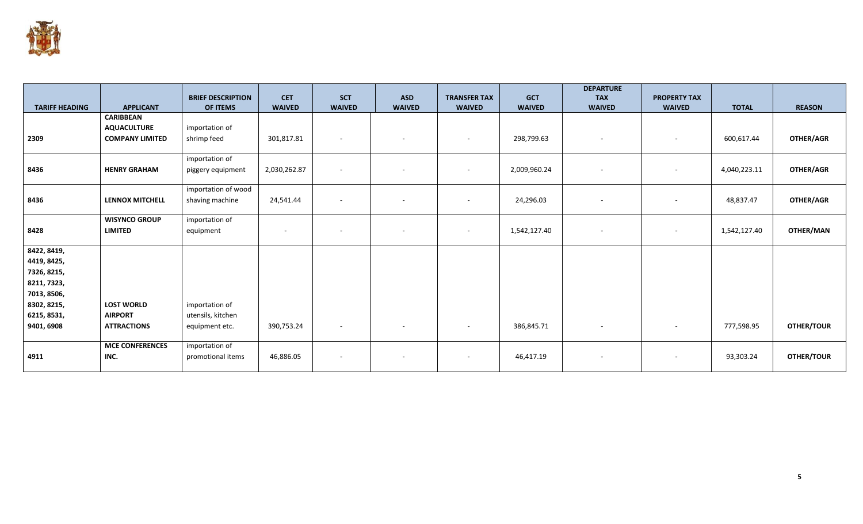

|                            |                        | <b>BRIEF DESCRIPTION</b> | <b>CET</b>    | <b>SCT</b>               | <b>ASD</b>               | <b>TRANSFER TAX</b>      | <b>GCT</b>    | <b>DEPARTURE</b><br><b>TAX</b> | <b>PROPERTY TAX</b>      |              |                   |
|----------------------------|------------------------|--------------------------|---------------|--------------------------|--------------------------|--------------------------|---------------|--------------------------------|--------------------------|--------------|-------------------|
| <b>TARIFF HEADING</b>      | <b>APPLICANT</b>       | <b>OF ITEMS</b>          | <b>WAIVED</b> | <b>WAIVED</b>            | <b>WAIVED</b>            | <b>WAIVED</b>            | <b>WAIVED</b> | <b>WAIVED</b>                  | <b>WAIVED</b>            | <b>TOTAL</b> | <b>REASON</b>     |
|                            | <b>CARIBBEAN</b>       |                          |               |                          |                          |                          |               |                                |                          |              |                   |
|                            | <b>AQUACULTURE</b>     | importation of           |               |                          |                          |                          |               |                                |                          |              |                   |
| 2309                       | <b>COMPANY LIMITED</b> | shrimp feed              | 301,817.81    | $\sim$                   | $\sim$                   | $\sim$                   | 298,799.63    | $\sim$                         | $\overline{\phantom{a}}$ | 600,617.44   | OTHER/AGR         |
|                            |                        | importation of           |               |                          |                          |                          |               |                                |                          |              |                   |
| 8436                       | <b>HENRY GRAHAM</b>    | piggery equipment        | 2,030,262.87  | $\sim$                   | $\overline{\phantom{a}}$ | $\sim$                   | 2,009,960.24  | $\sim$                         | $\overline{\phantom{a}}$ | 4,040,223.11 | OTHER/AGR         |
|                            |                        | importation of wood      |               |                          |                          |                          |               |                                |                          |              |                   |
| 8436                       | <b>LENNOX MITCHELL</b> | shaving machine          | 24,541.44     |                          | $\sim$                   | $\overline{\phantom{a}}$ | 24,296.03     | $\sim$                         | $\overline{\phantom{a}}$ | 48,837.47    | OTHER/AGR         |
|                            | <b>WISYNCO GROUP</b>   | importation of           |               |                          |                          |                          |               |                                |                          |              |                   |
| 8428                       | <b>LIMITED</b>         | equipment                |               | $\overline{\phantom{a}}$ | $\overline{\phantom{a}}$ | $\overline{\phantom{a}}$ | 1,542,127.40  | $\sim$                         | $\sim$                   | 1,542,127.40 | OTHER/MAN         |
| 8422, 8419,                |                        |                          |               |                          |                          |                          |               |                                |                          |              |                   |
| 4419, 8425,                |                        |                          |               |                          |                          |                          |               |                                |                          |              |                   |
| 7326, 8215,                |                        |                          |               |                          |                          |                          |               |                                |                          |              |                   |
| 8211, 7323,                |                        |                          |               |                          |                          |                          |               |                                |                          |              |                   |
| 7013, 8506,<br>8302, 8215, | <b>LOST WORLD</b>      | importation of           |               |                          |                          |                          |               |                                |                          |              |                   |
| 6215, 8531,                | <b>AIRPORT</b>         | utensils, kitchen        |               |                          |                          |                          |               |                                |                          |              |                   |
| 9401, 6908                 | <b>ATTRACTIONS</b>     | equipment etc.           | 390,753.24    | $\sim$                   | $\sim$                   | $\sim$                   | 386,845.71    | $\sim$                         | $\sim$                   | 777,598.95   | <b>OTHER/TOUR</b> |
|                            |                        |                          |               |                          |                          |                          |               |                                |                          |              |                   |
|                            | <b>MCE CONFERENCES</b> | importation of           |               |                          |                          |                          |               |                                |                          |              |                   |
| 4911                       | INC.                   | promotional items        | 46,886.05     | $\overline{\phantom{a}}$ | $\sim$                   | $\overline{\phantom{a}}$ | 46,417.19     | $\sim$                         | $\overline{\phantom{a}}$ | 93,303.24    | OTHER/TOUR        |